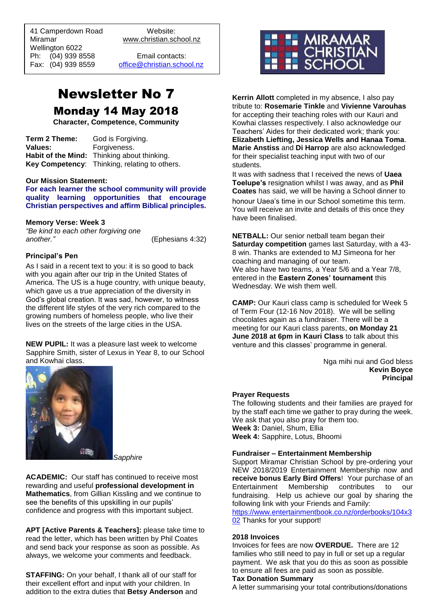41 Camperdown Road Website:<br>Miramar Www.christian.sc Wellington 6022 Ph: (04) 939 8558 Email contacts:

 $\overline{a}$ 

www.christian.school.nz

Fax: (04) 939 8559 [office@christian.school.nz](mailto:office@christian.school.nz)

# Newsletter No 7 Monday 14 May 2018

**Character, Competence, Community**

**Term 2 Theme:** God is Forgiving. **Values:** Forgiveness. **Habit of the Mind:** Thinking about thinking. **Key Competency**: Thinking, relating to others.

#### **Our Mission Statement:**

**For each learner the school community will provide quality learning opportunities that encourage Christian perspectives and affirm Biblical principles***.*

#### **Memory Verse: Week 3**

*"Be kind to each other forgiving one another."* (Ephesians 4:32)

#### **Principal's Pen**

As I said in a recent text to you: it is so good to back with you again after our trip in the United States of America. The US is a huge country, with unique beauty, which gave us a true appreciation of the diversity in God's global creation. It was sad, however, to witness the different life styles of the very rich compared to the growing numbers of homeless people, who live their lives on the streets of the large cities in the USA.

**NEW PUPIL:** It was a pleasure last week to welcome Sapphire Smith, sister of Lexus in Year 8, to our School and Kowhai class.



*Sapphire*

**ACADEMIC:** Our staff has continued to receive most rewarding and useful **professional development in Mathematics**, from Gillian Kissling and we continue to see the benefits of this upskilling in our pupils' confidence and progress with this important subject.

**APT [Active Parents & Teachers]:** please take time to read the letter, which has been written by Phil Coates and send back your response as soon as possible. As always, we welcome your comments and feedback.

**STAFFING:** On your behalf, I thank all of our staff for their excellent effort and input with your children. In addition to the extra duties that **Betsy Anderson** and



**Kerrin Allott** completed in my absence, I also pay tribute to: **Rosemarie Tinkle** and **Vivienne Varouhas** for accepting their teaching roles with our Kauri and Kowhai classes respectively. I also acknowledge our Teachers' Aides for their dedicated work; thank you: **Elizabeth Liefting, Jessica Wells and Hanaa Toma**. **Marie Anstiss** and **Di Harrop** are also acknowledged for their specialist teaching input with two of our students.

It was with sadness that I received the news of **Uaea Toelupe's** resignation whilst I was away, and as **Phil Coates** has said, we will be having a School dinner to honour Uaea's time in our School sometime this term. You will receive an invite and details of this once they have been finalised.

**NETBALL:** Our senior netball team began their **Saturday competition** games last Saturday, with a 43- 8 win. Thanks are extended to MJ Simeona for her coaching and managing of our team. We also have two teams, a Year 5/6 and a Year 7/8, entered in the **Eastern Zones' tournament** this Wednesday. We wish them well.

**CAMP:** Our Kauri class camp is scheduled for Week 5 of Term Four (12-16 Nov 2018). We will be selling chocolates again as a fundraiser. There will be a meeting for our Kauri class parents, **on Monday 21 June 2018 at 6pm in Kauri Class** to talk about this venture and this classes' programme in general.

> Nga mihi nui and God bless **Kevin Boyce Principal**

## **Prayer Requests**

The following students and their families are prayed for by the staff each time we gather to pray during the week. We ask that you also pray for them too. **Week 3:** Daniel, Shum, Ellia **Week 4:** Sapphire, Lotus, Bhoomi

#### **Fundraiser – Entertainment Membership**

Support Miramar Christian School by pre-ordering your NEW 2018/2019 Entertainment Membership now and **receive bonus Early Bird Offers**! Your purchase of an Entertainment Membership contributes to our fundraising. Help us achieve our goal by sharing the following link with your Friends and Family:

[https://www.entertainmentbook.co.nz/orderbooks/104x3](https://www.entertainmentbook.co.nz/orderbooks/104x302) [02](https://www.entertainmentbook.co.nz/orderbooks/104x302) Thanks for your support!

## **2018 Invoices**

Invoices for fees are now **OVERDUE.** There are 12 families who still need to pay in full or set up a regular payment. We ask that you do this as soon as possible to ensure all fees are paid as soon as possible.

#### **Tax Donation Summary**

A letter summarising your total contributions/donations